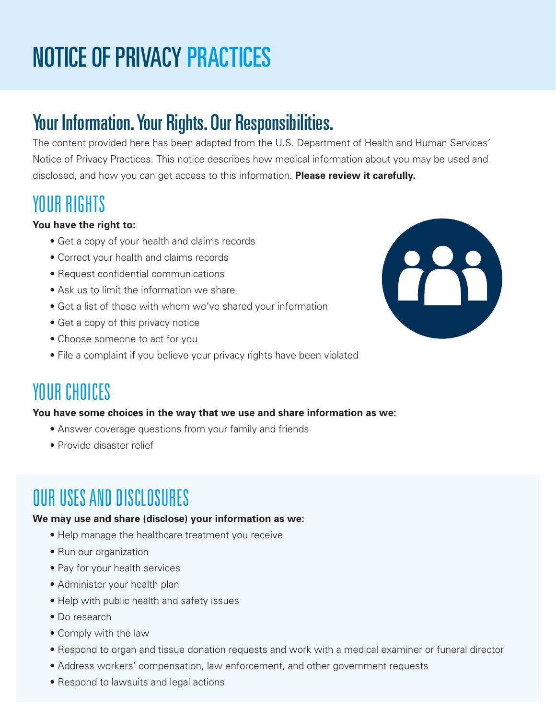## Your Information. Your Rights. Our Responsibilities.

The content provided here has been adapted from the U.S. Department of Health and Human Services' Notice of Privacy Practices. This notice describes how medical information about you may be used and disclosed, and how you can get access to this information. **Please review it carefully.**

### YOUR RIGHTS

### **You have the right to:**

- Get a copy of your health and claims records
- Correct your health and claims records
- Request confidential communications
- Ask us to limit the information we share
- Get a list of those with whom we've shared your information
- Get a copy of this privacy notice
- Choose someone to act for you
- File a complaint if you believe your privacy rights have been violated



### YOUR CHOICES

### **You have some choices in the way that we use and share information as we:**

- Answer coverage questions from your family and friends
- Provide disaster relief

### OUR USES AND DISCLOSURES

### **We may use and share (disclose) your information as we:**

- Help manage the healthcare treatment you receive
- Run our organization
- Pay for your health services
- Administer your health plan
- Help with public health and safety issues
- Do research
- Comply with the law
- Respond to organ and tissue donation requests and work with a medical examiner or funeral director
- Address workers' compensation, law enforcement, and other government requests
- Respond to lawsuits and legal actions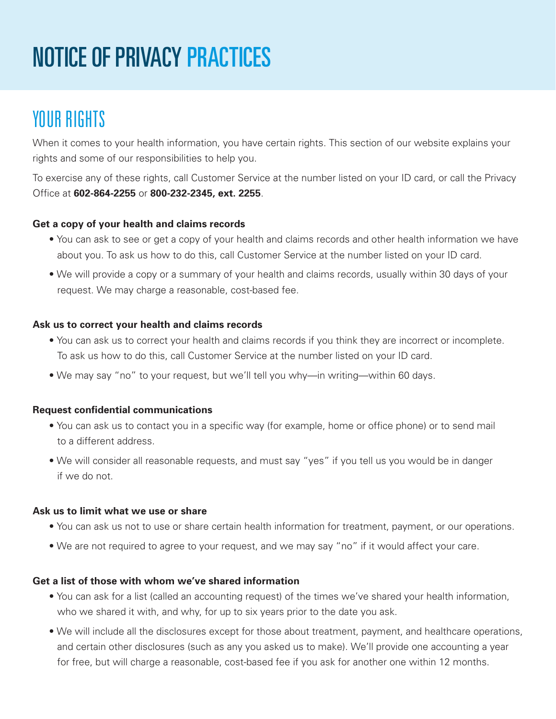## YOUR RIGHTS

When it comes to your health information, you have certain rights. This section of our website explains your rights and some of our responsibilities to help you.

To exercise any of these rights, call Customer Service at the number listed on your ID card, or call the Privacy Office at **602-864-2255** or **800-232-2345, ext. 2255**.

#### **Get a copy of your health and claims records**

- You can ask to see or get a copy of your health and claims records and other health information we have about you. To ask us how to do this, call Customer Service at the number listed on your ID card.
- We will provide a copy or a summary of your health and claims records, usually within 30 days of your request. We may charge a reasonable, cost-based fee.

#### **Ask us to correct your health and claims records**

- You can ask us to correct your health and claims records if you think they are incorrect or incomplete. To ask us how to do this, call Customer Service at the number listed on your ID card.
- We may say "no" to your request, but we'll tell you why—in writing—within 60 days.

#### **Request confidential communications**

- You can ask us to contact you in a specific way (for example, home or office phone) or to send mail to a different address.
- We will consider all reasonable requests, and must say "yes" if you tell us you would be in danger if we do not.

#### **Ask us to limit what we use or share**

- You can ask us not to use or share certain health information for treatment, payment, or our operations.
- We are not required to agree to your request, and we may say "no" if it would affect your care.

### **Get a list of those with whom we've shared information**

- You can ask for a list (called an accounting request) of the times we've shared your health information, who we shared it with, and why, for up to six years prior to the date you ask.
- We will include all the disclosures except for those about treatment, payment, and healthcare operations, and certain other disclosures (such as any you asked us to make). We'll provide one accounting a year for free, but will charge a reasonable, cost-based fee if you ask for another one within 12 months.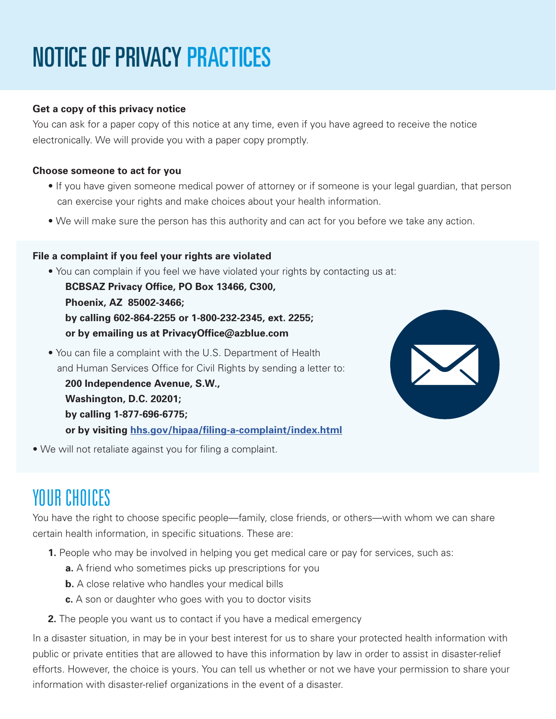### **Get a copy of this privacy notice**

You can ask for a paper copy of this notice at any time, even if you have agreed to receive the notice electronically. We will provide you with a paper copy promptly.

### **Choose someone to act for you**

- If you have given someone medical power of attorney or if someone is your legal guardian, that person can exercise your rights and make choices about your health information.
- We will make sure the person has this authority and can act for you before we take any action.

#### **File a complaint if you feel your rights are violated**

• You can complain if you feel we have violated your rights by contacting us at:

 **BCBSAZ Privacy Office, PO Box 13466, C300, Phoenix, AZ 85002-3466; by calling 602-864-2255 or 1-800-232-2345, ext. 2255; or by emailing us at PrivacyOffice@azblue.com**

• You can file a complaint with the U.S. Department of Health and Human Services Office for Civil Rights by sending a letter to:

 **200 Independence Avenue, S.W., Washington, D.C. 20201; by calling 1-877-696-6775; or by visiting hhs.gov/hipaa/filing-a-complaint/index.html**



• We will not retaliate against you for filing a complaint.

### YOUR CHOICES

You have the right to choose specific people—family, close friends, or others—with whom we can share certain health information, in specific situations. These are:

- **1.** People who may be involved in helping you get medical care or pay for services, such as:
	- **a.** A friend who sometimes picks up prescriptions for you
	- **b.** A close relative who handles your medical bills
	- **c.** A son or daughter who goes with you to doctor visits
- **2.** The people you want us to contact if you have a medical emergency

In a disaster situation, in may be in your best interest for us to share your protected health information with public or private entities that are allowed to have this information by law in order to assist in disaster-relief efforts. However, the choice is yours. You can tell us whether or not we have your permission to share your information with disaster-relief organizations in the event of a disaster.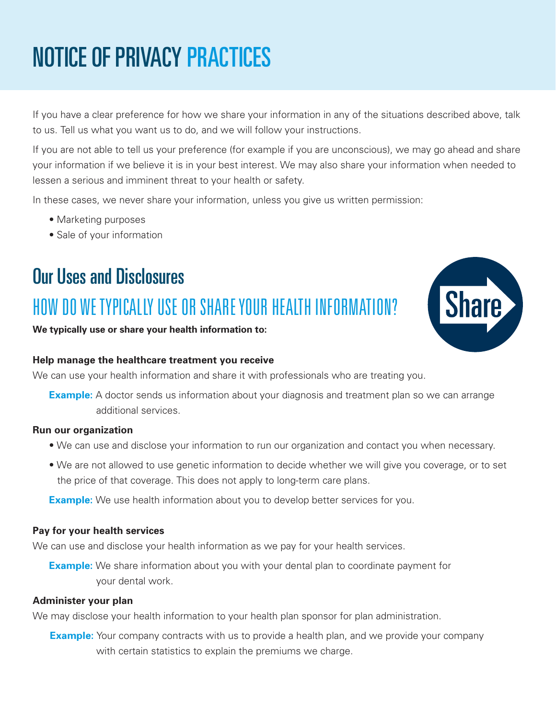If you have a clear preference for how we share your information in any of the situations described above, talk to us. Tell us what you want us to do, and we will follow your instructions.

If you are not able to tell us your preference (for example if you are unconscious), we may go ahead and share your information if we believe it is in your best interest. We may also share your information when needed to lessen a serious and imminent threat to your health or safety.

In these cases, we never share your information, unless you give us written permission:

- Marketing purposes
- Sale of your information

# Our Uses and Disclosures

## HOW DO WE TYPICALLY USE OR SHARE YOUR HEALTH INFORMATION?



**We typically use or share your health information to:**

### **Help manage the healthcare treatment you receive**

We can use your health information and share it with professionals who are treating you.

**Example:** A doctor sends us information about your diagnosis and treatment plan so we can arrange additional services.

### **Run our organization**

- We can use and disclose your information to run our organization and contact you when necessary.
- We are not allowed to use genetic information to decide whether we will give you coverage, or to set the price of that coverage. This does not apply to long-term care plans.

**Example:** We use health information about you to develop better services for you.

### **Pay for your health services**

We can use and disclose your health information as we pay for your health services.

**Example:** We share information about you with your dental plan to coordinate payment for your dental work.

### **Administer your plan**

We may disclose your health information to your health plan sponsor for plan administration.

**Example:** Your company contracts with us to provide a health plan, and we provide your company with certain statistics to explain the premiums we charge.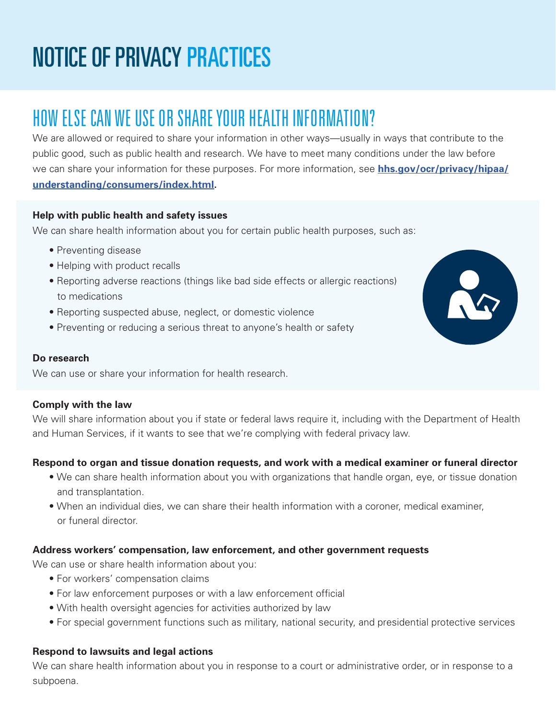### HOW ELSE CAN WE USE OR SHARE YOUR HEALTH INFORMATION?

We are allowed or required to share your information in other ways—usually in ways that contribute to the public good, such as public health and research. We have to meet many conditions under the law before we can share your information for these purposes. For more information, see **hhs.gov/ocr/privacy/hipaa/ understanding/consumers/index.html.**

### **Help with public health and safety issues**

We can share health information about you for certain public health purposes, such as:

- Preventing disease
- Helping with product recalls
- Reporting adverse reactions (things like bad side effects or allergic reactions) to medications
- Reporting suspected abuse, neglect, or domestic violence
- Preventing or reducing a serious threat to anyone's health or safety

#### **Do research**

We can use or share your information for health research.

### **Comply with the law**

We will share information about you if state or federal laws require it, including with the Department of Health and Human Services, if it wants to see that we're complying with federal privacy law.

### **Respond to organ and tissue donation requests, and work with a medical examiner or funeral director**

- We can share health information about you with organizations that handle organ, eye, or tissue donation and transplantation.
- When an individual dies, we can share their health information with a coroner, medical examiner, or funeral director.

### **Address workers' compensation, law enforcement, and other government requests**

We can use or share health information about you:

- For workers' compensation claims
- For law enforcement purposes or with a law enforcement official
- With health oversight agencies for activities authorized by law
- For special government functions such as military, national security, and presidential protective services

### **Respond to lawsuits and legal actions**

We can share health information about you in response to a court or administrative order, or in response to a subpoena.